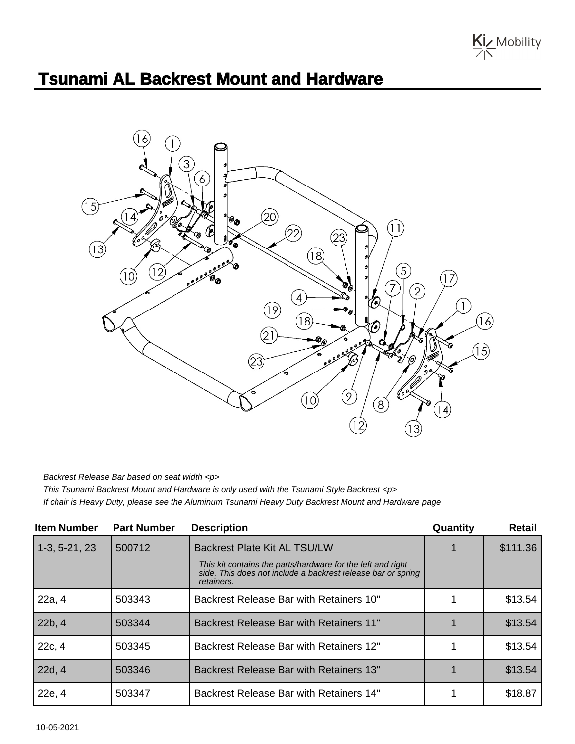

## **Tsunami AL Backrest Mount and Hardware**



Backrest Release Bar based on seat width <p>

This Tsunami Backrest Mount and Hardware is only used with the Tsunami Style Backrest <p> If chair is Heavy Duty, please see the Aluminum Tsunami Heavy Duty Backrest Mount and Hardware page

| <b>Item Number</b> | <b>Part Number</b> | <b>Description</b>                                                                                                                        | Quantity | <b>Retail</b> |
|--------------------|--------------------|-------------------------------------------------------------------------------------------------------------------------------------------|----------|---------------|
| $1-3, 5-21, 23$    | 500712             | <b>Backrest Plate Kit AL TSU/LW</b>                                                                                                       |          | \$111.36      |
|                    |                    | This kit contains the parts/hardware for the left and right<br>side. This does not include a backrest release bar or spring<br>retainers. |          |               |
| 22a, 4             | 503343             | Backrest Release Bar with Retainers 10"                                                                                                   |          | \$13.54       |
| 22b, 4             | 503344             | <b>Backrest Release Bar with Retainers 11"</b>                                                                                            |          | \$13.54       |
| 22c, 4             | 503345             | Backrest Release Bar with Retainers 12"                                                                                                   |          | \$13.54       |
| 22d, 4             | 503346             | <b>Backrest Release Bar with Retainers 13"</b>                                                                                            |          | \$13.54       |
| 22e, 4             | 503347             | <b>Backrest Release Bar with Retainers 14"</b>                                                                                            |          | \$18.87       |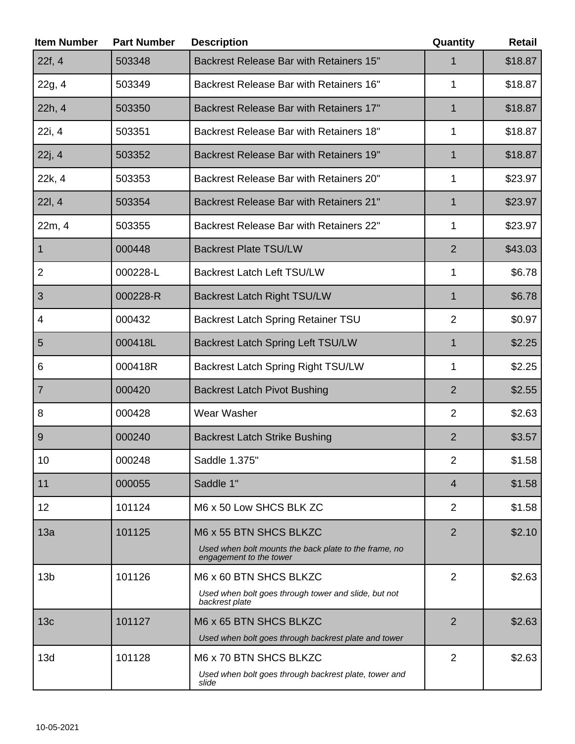| <b>Item Number</b> | <b>Part Number</b> | <b>Description</b>                                                                                                          | Quantity       | <b>Retail</b> |
|--------------------|--------------------|-----------------------------------------------------------------------------------------------------------------------------|----------------|---------------|
| 22f, 4             | 503348             | Backrest Release Bar with Retainers 15"                                                                                     | 1              | \$18.87       |
| 22g, 4             | 503349             | Backrest Release Bar with Retainers 16"                                                                                     | 1              | \$18.87       |
| 22h, 4             | 503350             | <b>Backrest Release Bar with Retainers 17"</b>                                                                              | $\mathbf{1}$   | \$18.87       |
| 22i, 4             | 503351             | Backrest Release Bar with Retainers 18"                                                                                     | 1              | \$18.87       |
| 22j, 4             | 503352             | Backrest Release Bar with Retainers 19"                                                                                     | 1              | \$18.87       |
| 22k, 4             | 503353             | Backrest Release Bar with Retainers 20"                                                                                     | 1              | \$23.97       |
| 22I, 4             | 503354             | <b>Backrest Release Bar with Retainers 21"</b>                                                                              | $\mathbf{1}$   | \$23.97       |
| 22m, 4             | 503355             | <b>Backrest Release Bar with Retainers 22"</b>                                                                              | $\mathbf{1}$   | \$23.97       |
| $\mathbf{1}$       | 000448             | <b>Backrest Plate TSU/LW</b>                                                                                                | $\overline{2}$ | \$43.03       |
| $\overline{2}$     | 000228-L           | <b>Backrest Latch Left TSU/LW</b>                                                                                           | 1              | \$6.78        |
| 3                  | 000228-R           | <b>Backrest Latch Right TSU/LW</b>                                                                                          | 1              | \$6.78        |
| 4                  | 000432             | <b>Backrest Latch Spring Retainer TSU</b>                                                                                   | $\overline{2}$ | \$0.97        |
| 5                  | 000418L            | <b>Backrest Latch Spring Left TSU/LW</b>                                                                                    | $\mathbf{1}$   | \$2.25        |
| 6                  | 000418R            | <b>Backrest Latch Spring Right TSU/LW</b>                                                                                   | 1              | \$2.25        |
| $\overline{7}$     | 000420             | <b>Backrest Latch Pivot Bushing</b>                                                                                         | $\overline{2}$ | \$2.55        |
| 8                  | 000428             | Wear Washer                                                                                                                 | $\overline{2}$ | \$2.63        |
| 9                  | 000240             | <b>Backrest Latch Strike Bushing</b>                                                                                        | $\overline{2}$ | \$3.57        |
| 10                 | 000248             | Saddle 1.375"                                                                                                               | $\overline{2}$ | \$1.58        |
| 11                 | 000055             | Saddle 1"                                                                                                                   | 4              | \$1.58        |
| 12                 | 101124             | M6 x 50 Low SHCS BLK ZC                                                                                                     | $\overline{2}$ | \$1.58        |
| 13a                | 101125             | M6 x 55 BTN SHCS BLKZC<br>Used when bolt mounts the back plate to the frame, no                                             | $\overline{2}$ | \$2.10        |
| 13 <sub>b</sub>    | 101126             | engagement to the tower<br>M6 x 60 BTN SHCS BLKZC<br>Used when bolt goes through tower and slide, but not<br>backrest plate | $\overline{2}$ | \$2.63        |
| 13 <sub>c</sub>    | 101127             | M6 x 65 BTN SHCS BLKZC<br>Used when bolt goes through backrest plate and tower                                              | $\overline{2}$ | \$2.63        |
| 13d                | 101128             | M6 x 70 BTN SHCS BLKZC<br>Used when bolt goes through backrest plate, tower and<br>slide                                    | $\overline{2}$ | \$2.63        |